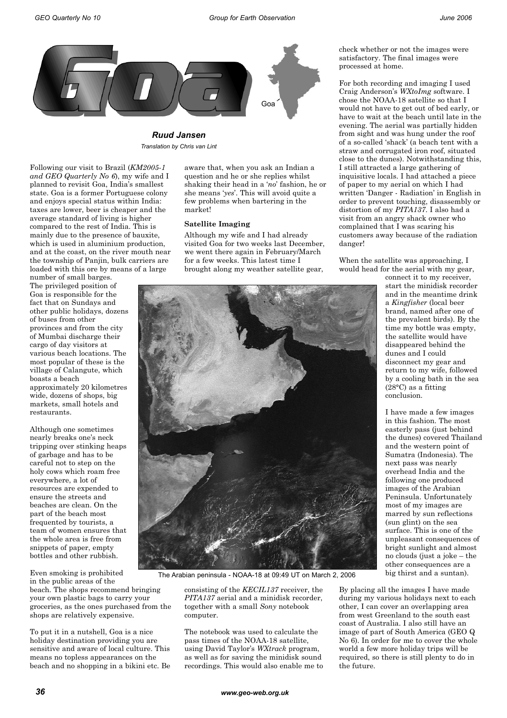

*Ruud Jansen Translation by Chris van Lint*

Following our visit to Brazil (*KM2005-1 and GEO Quarterly No 6*), my wife and I planned to revisit Goa, India's smallest state. Goa is a former Portuguese colony and enjoys special status within India: taxes are lower, beer is cheaper and the average standard of living is higher compared to the rest of India. This is mainly due to the presence of bauxite, which is used in aluminium production, and at the coast, on the river mouth near the township of Panjin, bulk carriers are loaded with this ore by means of a large

number of small barges. The privileged position of Goa is responsible for the fact that on Sundays and other public holidays, dozens of buses from other provinces and from the city of Mumbai discharge their cargo of day visitors at various beach locations. The most popular of these is the village of Calangute, which boasts a beach approximately 20 kilometres wide, dozens of shops, big markets, small hotels and restaurants.

Although one sometimes nearly breaks one's neck tripping over stinking heaps of garbage and has to be careful not to step on the holy cows which roam free everywhere, a lot of resources are expended to ensure the streets and beaches are clean. On the part of the beach most frequented by tourists, a team of women ensures that the whole area is free from snippets of paper, empty bottles and other rubbish.

Even smoking is prohibited in the public areas of the

beach. The shops recommend bringing your own plastic bags to carry your groceries, as the ones purchased from the shops are relatively expensive.

To put it in a nutshell, Goa is a nice holiday destination providing you are sensitive and aware of local culture. This means no topless appearances on the beach and no shopping in a bikini etc. Be aware that, when you ask an Indian a question and he or she replies whilst shaking their head in a '*no*' fashion, he or she means '*yes*'. This will avoid quite a few problems when bartering in the market!

## **Satellite Imaging**

Although my wife and I had already visited Goa for two weeks last December, we went there again in February/March for a few weeks. This latest time I brought along my weather satellite gear,



The Arabian peninsula - NOAA-18 at 09:49 UT on March 2, 2006

consisting of the *KECIL137* receiver, the *PITA137* aerial and a minidisk recorder, together with a small *Sony* notebook computer.

The notebook was used to calculate the pass times of the NOAA-18 satellite, using David Taylor's *WXtrack* program, as well as for saving the minidisk sound recordings. This would also enable me to check whether or not the images were satisfactory. The final images were processed at home.

For both recording and imaging I used Craig Anderson's *WXtoImg* software. I chose the NOAA-18 satellite so that I would not have to get out of bed early, or have to wait at the beach until late in the evening. The aerial was partially hidden from sight and was hung under the roof of a so-called 'shack' (a beach tent with a straw and corrugated iron roof, situated close to the dunes). Notwithstanding this, I still attracted a large gathering of inquisitive locals. I had attached a piece of paper to my aerial on which I had written 'Danger - Radiation' in English in order to prevent touching, disassembly or distortion of my *PITA137*. I also had a visit from an angry shack owner who complained that I was scaring his customers away because of the radiation danger!

When the satellite was approaching, I would head for the aerial with my gear,

connect it to my receiver, start the minidisk recorder and in the meantime drink a *Kingfisher* (local beer brand, named after one of the prevalent birds). By the time my bottle was empty, the satellite would have disappeared behind the dunes and I could disconnect my gear and return to my wife, followed by a cooling bath in the sea (28°C) as a fitting conclusion.

I have made a few images in this fashion. The most easterly pass (just behind the dunes) covered Thailand and the western point of Sumatra (Indonesia). The next pass was nearly overhead India and the following one produced images of the Arabian Peninsula. Unfortunately most of my images are marred by sun reflections (sun glint) on the sea surface. This is one of the unpleasant consequences of bright sunlight and almost no clouds (just a joke – the other consequences are a big thirst and a suntan).

By placing all the images I have made during my various holidays next to each other, I can cover an overlapping area from west Greenland to the south east coast of Australia. I also still have an image of part of South America (GEO Q No 6). In order for me to cover the whole world a few more holiday trips will be required, so there is still plenty to do in the future.